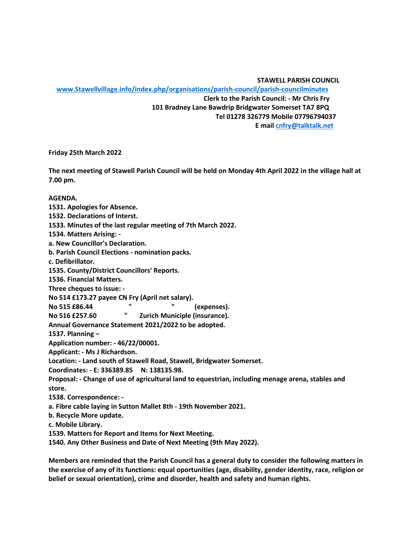**STAWELL PARISH COUNCIL**

 **[www.Stawellvillage.info/index.php/organisations/parish-council/parish-councilminutes](http://www.stawellvillage.info/index.php/organisations/parish-council/parish-councilminutes) Clerk to the Parish Council: - Mr Chris Fry 101 Bradney Lane Bawdrip Bridgwater Somerset TA7 8PQ Tel 01278 326779 Mobile 07796794037 E mail [cnfry@talktalk.net](mailto:cnfry@talktalk.net)**

**Friday 25th March 2022**

**The next meeting of Stawell Parish Council will be held on Monday 4th April 2022 in the village hall at 7.00 pm.**

**AGENDA.**

**1531. Apologies for Absence.**

**1532. Declarations of Interst.**

**1533. Minutes of the last regular meeting of 7th March 2022.**

**1534. Matters Arising: -**

**a. New Councillor's Declaration.**

**b. Parish Council Elections - nomination packs.**

**c. Defibrillator.**

**1535. County/District Councillors' Reports.** 

**1536. Financial Matters.**

**Three cheques to issue: -**

**No 514 £173.27 payee CN Fry (April net salary).**

**No 515 £86.44 " " (expenses).**

**No 516 £257.60 " Zurich Municiple (insurance).**

**Annual Governance Statement 2021/2022 to be adopted.**

**1537. Planning –**

**Application number: - 46/22/00001.**

**Applicant: - Ms J Richardson.**

**Location: - Land south of Stawell Road, Stawell, Bridgwater Somerset.**

**Coordinates: - E: 336389.85 N: 138135.98.**

**Proposal: - Change of use of agricultural land to equestrian, including menage arena, stables and store.**

**1538. Correspondence: -**

**a. Fibre cable laying in Sutton Mallet 8th - 19th November 2021.**

**b. Recycle More update.**

**c. Mobile Library.**

**1539. Matters for Report and Items for Next Meeting.**

**1540. Any Other Business and Date of Next Meeting (9th May 2022).**

**Members are reminded that the Parish Council has a general duty to consider the following matters in the exercise of any of its functions: equal oportunities (age, disability, gender identity, race, religion or belief or sexual orientation), crime and disorder, health and safety and human rights.**